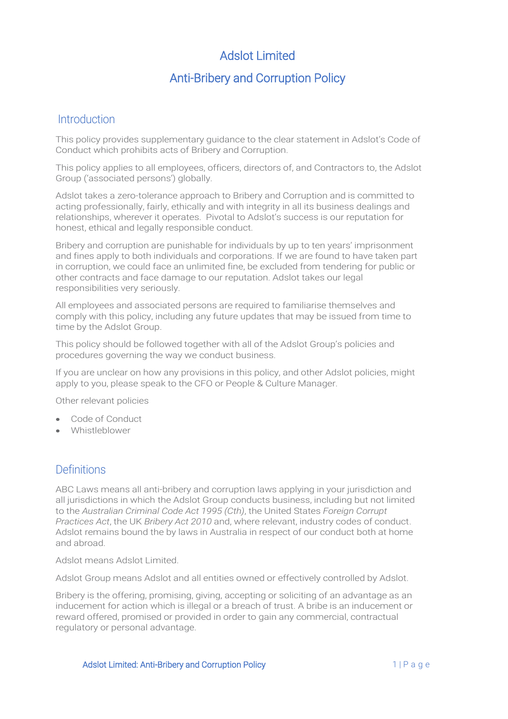# Adslot Limited

# Anti-Bribery and Corruption Policy

#### Introduction

This policy provides supplementary guidance to the clear statement in Adslot's Code of Conduct which prohibits acts of Bribery and Corruption.

This policy applies to all employees, officers, directors of, and Contractors to, the Adslot Group ('associated persons') globally.

Adslot takes a zero-tolerance approach to Bribery and Corruption and is committed to acting professionally, fairly, ethically and with integrity in all its business dealings and relationships, wherever it operates. Pivotal to Adslot's success is our reputation for honest, ethical and legally responsible conduct.

Bribery and corruption are punishable for individuals by up to ten years' imprisonment and fines apply to both individuals and corporations. If we are found to have taken part in corruption, we could face an unlimited fine, be excluded from tendering for public or other contracts and face damage to our reputation. Adslot takes our legal responsibilities very seriously.

All employees and associated persons are required to familiarise themselves and comply with this policy, including any future updates that may be issued from time to time by the Adslot Group.

This policy should be followed together with all of the Adslot Group's policies and procedures governing the way we conduct business.

If you are unclear on how any provisions in this policy, and other Adslot policies, might apply to you, please speak to the CFO or People & Culture Manager.

Other relevant policies

- Code of Conduct
- Whistleblower

#### **Definitions**

ABC Laws means all anti-bribery and corruption laws applying in your jurisdiction and all jurisdictions in which the Adslot Group conducts business, including but not limited to the *Australian Criminal Code Act 1995 (Cth)*, the United States *Foreign Corrupt Practices Act*, the UK *Bribery Act 2010* and, where relevant, industry codes of conduct. Adslot remains bound the by laws in Australia in respect of our conduct both at home and abroad.

Adslot means Adslot Limited.

Adslot Group means Adslot and all entities owned or effectively controlled by Adslot.

Bribery is the offering, promising, giving, accepting or soliciting of an advantage as an inducement for action which is illegal or a breach of trust. A bribe is an inducement or reward offered, promised or provided in order to gain any commercial, contractual regulatory or personal advantage.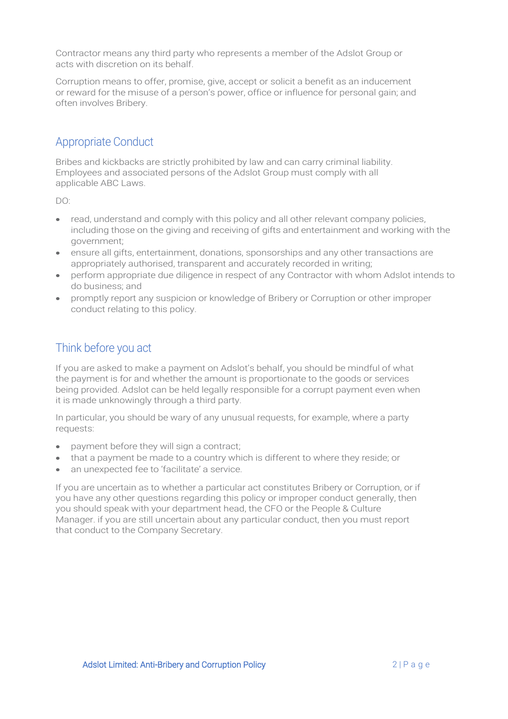Contractor means any third party who represents a member of the Adslot Group or acts with discretion on its behalf.

Corruption means to offer, promise, give, accept or solicit a benefit as an inducement or reward for the misuse of a person's power, office or influence for personal gain; and often involves Bribery.

### Appropriate Conduct

Bribes and kickbacks are strictly prohibited by law and can carry criminal liability. Employees and associated persons of the Adslot Group must comply with all applicable ABC Laws.

DO:

- read, understand and comply with this policy and all other relevant company policies, including those on the giving and receiving of gifts and entertainment and working with the government;
- ensure all gifts, entertainment, donations, sponsorships and any other transactions are appropriately authorised, transparent and accurately recorded in writing;
- perform appropriate due diligence in respect of any Contractor with whom Adslot intends to do business; and
- promptly report any suspicion or knowledge of Bribery or Corruption or other improper conduct relating to this policy.

# Think before you act

If you are asked to make a payment on Adslot's behalf, you should be mindful of what the payment is for and whether the amount is proportionate to the goods or services being provided. Adslot can be held legally responsible for a corrupt payment even when it is made unknowingly through a third party.

In particular, you should be wary of any unusual requests, for example, where a party requests:

- payment before they will sign a contract;
- that a payment be made to a country which is different to where they reside; or
- an unexpected fee to 'facilitate' a service.

If you are uncertain as to whether a particular act constitutes Bribery or Corruption, or if you have any other questions regarding this policy or improper conduct generally, then you should speak with your department head, the CFO or the People & Culture Manager. if you are still uncertain about any particular conduct, then you must report that conduct to the Company Secretary.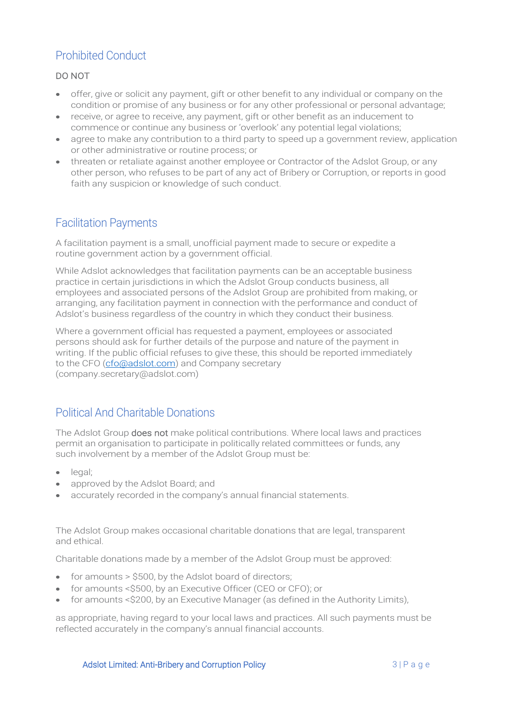# Prohibited Conduct

#### DO NOT

- offer, give or solicit any payment, gift or other benefit to any individual or company on the condition or promise of any business or for any other professional or personal advantage;
- receive, or agree to receive, any payment, gift or other benefit as an inducement to commence or continue any business or 'overlook' any potential legal violations;
- agree to make any contribution to a third party to speed up a government review, application or other administrative or routine process; or
- threaten or retaliate against another employee or Contractor of the Adslot Group, or any other person, who refuses to be part of any act of Bribery or Corruption, or reports in good faith any suspicion or knowledge of such conduct.

### Facilitation Payments

A facilitation payment is a small, unofficial payment made to secure or expedite a routine government action by a government official.

While Adslot acknowledges that facilitation payments can be an acceptable business practice in certain jurisdictions in which the Adslot Group conducts business, all employees and associated persons of the Adslot Group are prohibited from making, or arranging, any facilitation payment in connection with the performance and conduct of Adslot's business regardless of the country in which they conduct their business.

Where a government official has requested a payment, employees or associated persons should ask for further details of the purpose and nature of the payment in writing. If the public official refuses to give these, this should be reported immediately to the CFO [\(cfo@adslot.com\)](mailto:cfo@adslot.com) and Company secretary (company.secretary@adslot.com)

### Political And Charitable Donations

The Adslot Group does not make political contributions. Where local laws and practices permit an organisation to participate in politically related committees or funds, any such involvement by a member of the Adslot Group must be:

- egal:
- approved by the Adslot Board; and
- accurately recorded in the company's annual financial statements.

The Adslot Group makes occasional charitable donations that are legal, transparent and ethical.

Charitable donations made by a member of the Adslot Group must be approved:

- for amounts > \$500, by the Adslot board of directors;
- for amounts <\$500, by an Executive Officer (CEO or CFO); or
- for amounts < \$200, by an Executive Manager (as defined in the Authority Limits),

as appropriate, having regard to your local laws and practices. All such payments must be reflected accurately in the company's annual financial accounts.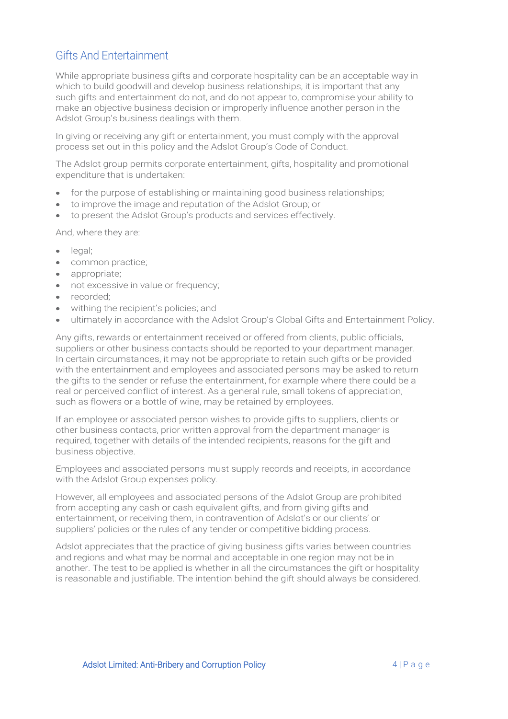## Gifts And Entertainment

While appropriate business gifts and corporate hospitality can be an acceptable way in which to build goodwill and develop business relationships, it is important that any such gifts and entertainment do not, and do not appear to, compromise your ability to make an objective business decision or improperly influence another person in the Adslot Group's business dealings with them.

In giving or receiving any gift or entertainment, you must comply with the approval process set out in this policy and the Adslot Group's Code of Conduct.

The Adslot group permits corporate entertainment, gifts, hospitality and promotional expenditure that is undertaken:

- for the purpose of establishing or maintaining good business relationships;
- to improve the image and reputation of the Adslot Group; or
- to present the Adslot Group's products and services effectively.

And, where they are:

- legal:
- common practice;
- appropriate;
- not excessive in value or frequency:
- recorded:
- withing the recipient's policies; and
- ultimately in accordance with the Adslot Group's Global Gifts and Entertainment Policy.

Any gifts, rewards or entertainment received or offered from clients, public officials, suppliers or other business contacts should be reported to your department manager. In certain circumstances, it may not be appropriate to retain such gifts or be provided with the entertainment and employees and associated persons may be asked to return the gifts to the sender or refuse the entertainment, for example where there could be a real or perceived conflict of interest. As a general rule, small tokens of appreciation, such as flowers or a bottle of wine, may be retained by employees.

If an employee or associated person wishes to provide gifts to suppliers, clients or other business contacts, prior written approval from the department manager is required, together with details of the intended recipients, reasons for the gift and business objective.

Employees and associated persons must supply records and receipts, in accordance with the Adslot Group expenses policy.

However, all employees and associated persons of the Adslot Group are prohibited from accepting any cash or cash equivalent gifts, and from giving gifts and entertainment, or receiving them, in contravention of Adslot's or our clients' or suppliers' policies or the rules of any tender or competitive bidding process.

Adslot appreciates that the practice of giving business gifts varies between countries and regions and what may be normal and acceptable in one region may not be in another. The test to be applied is whether in all the circumstances the gift or hospitality is reasonable and justifiable. The intention behind the gift should always be considered.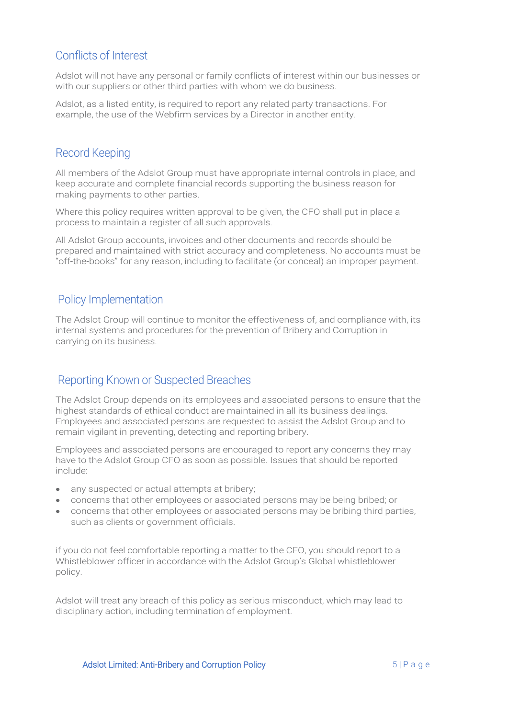## Conflicts of Interest

Adslot will not have any personal or family conflicts of interest within our businesses or with our suppliers or other third parties with whom we do business.

Adslot, as a listed entity, is required to report any related party transactions. For example, the use of the Webfirm services by a Director in another entity.

#### Record Keeping

All members of the Adslot Group must have appropriate internal controls in place, and keep accurate and complete financial records supporting the business reason for making payments to other parties.

Where this policy requires written approval to be given, the CFO shall put in place a process to maintain a register of all such approvals.

All Adslot Group accounts, invoices and other documents and records should be prepared and maintained with strict accuracy and completeness. No accounts must be "off-the-books" for any reason, including to facilitate (or conceal) an improper payment.

#### Policy Implementation

The Adslot Group will continue to monitor the effectiveness of, and compliance with, its internal systems and procedures for the prevention of Bribery and Corruption in carrying on its business.

#### Reporting Known or Suspected Breaches

The Adslot Group depends on its employees and associated persons to ensure that the highest standards of ethical conduct are maintained in all its business dealings. Employees and associated persons are requested to assist the Adslot Group and to remain vigilant in preventing, detecting and reporting bribery.

Employees and associated persons are encouraged to report any concerns they may have to the Adslot Group CFO as soon as possible. Issues that should be reported include:

- any suspected or actual attempts at bribery;
- concerns that other employees or associated persons may be being bribed; or
- concerns that other employees or associated persons may be bribing third parties, such as clients or government officials.

if you do not feel comfortable reporting a matter to the CFO, you should report to a Whistleblower officer in accordance with the Adslot Group's Global whistleblower policy.

Adslot will treat any breach of this policy as serious misconduct, which may lead to disciplinary action, including termination of employment.